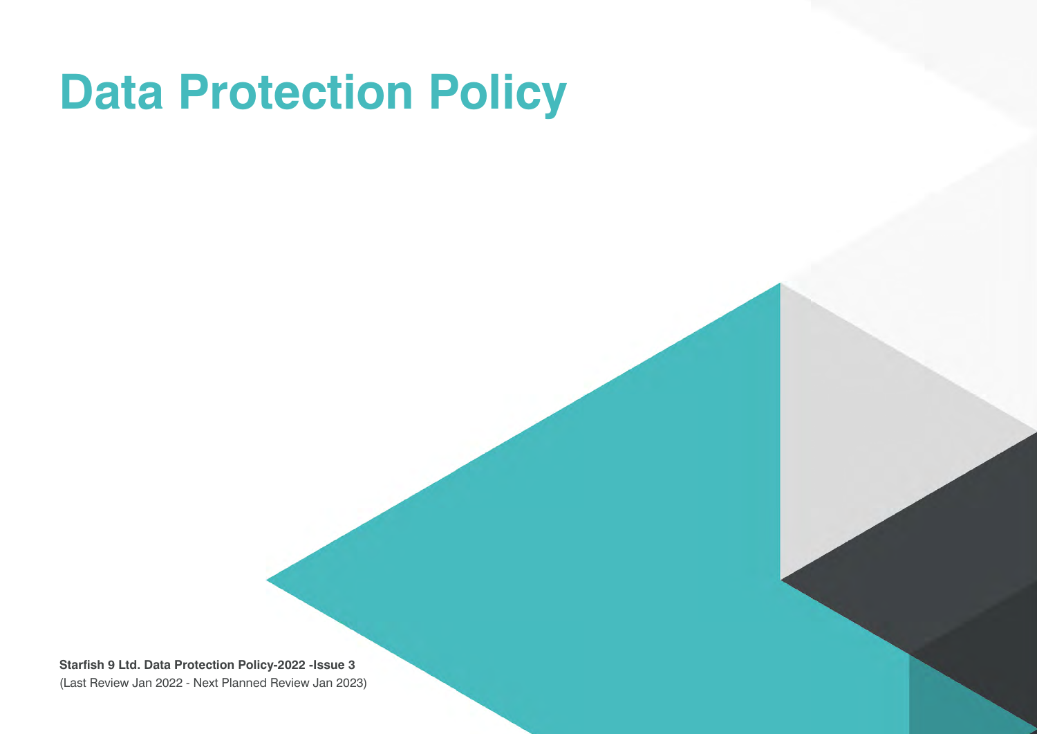## **Data Protection Policy**

**Starfish 9 Ltd. Data Protection Policy-2022 -Issue 3** (Last Review Jan 2022 - Next Planned Review Jan 2023)